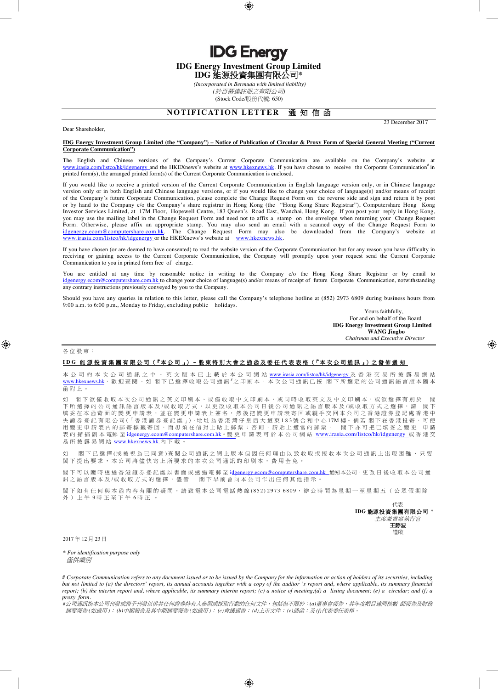**IDG Energy Investment Group Limited** 

**IDG Energy** 

**IDG** 能源投資集團有限公司**\***

 *(Incorporated in Bermuda with limited liability) (*於百慕達註冊之有限公司*)* (Stock Code/股份代號: 650)

# **NOTIFICATION LETTER 通知信函**

23 December 2017

## Dear Shareholder,

### **IDG Energy Investment Group Limited (the "Company") – Notice of Publication of Circular & Proxy Form of Special General Meeting ("Current Corporate Communication")**

The English and Chinese versions of the Company's Current Corporate Communication are available on the Company's website at www.irasia.com/listco/hk/idgenergy and the HKEXnews's website at www.hkexnews.hk. If you have chosen to receive the Corporate Communication<sup>#</sup> in printed form(s), the arranged printed form(s) of the Current Corporate Communication is enclosed.

If you would like to receive a printed version of the Current Corporate Communication in English language version only, or in Chinese language version only or in both English and Chinese language versions, or if you would like to change your choice of language(s) and/or means of receipt of the Company's future Corporate Communication, please complete the Change Request Form on the reverse side and sign and return it by post or by hand to the Company c/o the Company's share registrar in Hong Kong (the "Hong Kong Share Registrar"), Computershare Hong Kong Investor Services Limited, at 17M Floor, Hopewell Centre, 183 Queen's Road East, Wanchai, Hong Kong. If you post your reply in Hong Kong, you may use the mailing label in the Change Request Form and need not to affix a stamp on the envelope when returning your Change Request Form. Otherwise, please affix an appropriate stamp. You may also send an email with a scanned copy of the Change Request Form to idgenergy.ecom@computershare.com.hk. The Change Request Form may also be downloaded from the Company's website at www.irasia.com/listco/hk/idgenergy or the HKEXnews's website at www.hkexnews.hk.

If you have chosen (or are deemed to have consented) to read the website version of the Corporate Communication but for any reason you have difficulty in receiving or gaining access to the Current Corporate Communication, the Company will promptly upon your request send the Current Corporate Communication to you in printed form free of charge.

You are entitled at any time by reasonable notice in writing to the Company c/o the Hong Kong Share Registrar or by email to idgenergy.ecom@computershare.com.hk to change your choice of language(s) and/or means of receipt of future Corporate Communication, notwithstanding any contrary instructions previously conveyed by you to the Company.

Should you have any queries in relation to this letter, please call the Company's telephone hotline at (852) 2973 6809 during business hours from 9:00 a.m. to 6:00 p.m., Monday to Friday, excluding public holidays.

Yours faithfully, For and on behalf of the Board **IDG Energy Investment Group Limited WANG Jingbo**  *Chairman and Executive Director* 

#### 各 位 股 東 :

### **I D G** 能 源 投 資 集 團 有 限 公 司 (「本 公 司 」)– 股 東 特 別 大 會 之 通 函 及 委 任 代 表 表 格 (「本 次 公 司 通 訊 」)之 發 佈 通 知

本 公 司 的 本 次 公 司 通 訊 之 中 、 英 文 版 本 已 上 載 於 本 公 司 網 站 www.irasia.com/listco/hk/idgenergy 及 香 港 交 易 所 披 露 易 網 站 www.hkexnews.hk, 就 迎 查 閱 。 如 閣 下 已 選 擇 收 取 公 司 通 訊 <sup>#</sup>之 印 刷 本 , 本 次 公 司 通 訊 已 按 | 閣 下 所 選 定 的 公 司 通 訊 語 言 版 本 隨 本 函附上。

如 閣下欲僅收取本次公司通訊之英文印刷本、或僅收取中文印刷本,或同時收取英文及中文印刷本,或欲選擇有別於 閣 下 所 選 擇 的 公 司 通 訊 語 言 版 本 及 /或 收 取 方 式 , 以 更 改 收 取 本 公 司 日 後 公 司 通 訊 之 語 吉 版 本 及 /或 收 取 方 式 之 選 擇 , 請 閣 下 填妥在本函背面的變更申請表,並在變更申請表上簽名,然後把變更申請表寄回或親手交回本公司之香港證券登記處香港中 央 證 券 登 記 有 限 公 司(「 香 港 證 券 登 記 處 」), 地 址 為 香 港 灣 仔 皇 后 大 道 東 1 8 3 號 合 和 中 心 17M 樓。 倘 若 閣 下 在 香 港 投 寄 , 可 使 用變更申請表內的郵寄標籤寄回,而毋須在信封上貼上郵票;否則,請貼上適當的郵票。 閣下亦可把已填妥之變更 申請 表 的 掃 描 副 本 電郵 至 idgenergy.ecom@computershare.com.hk。變 更 申 請 表 可 於 本 公 司 網 站 www.irasia.com/listco/hk/idgenergy 或 香 港 交 易 所 披 露 易 網 站 www.hkexnews.hk 內 下 載 。

如 閣下已選擇(或被視為已同意)查閱公司通訊之網上版本但因任何理由以致收取或接收本次公司通訊上出現困難,只要 閣下 提 出 要 求 , 本 公 司 將 儘 快 寄 上 所 要 求 的 本 次 公 司 通 訊 的 印 刷 本 , 費 用 全 免 。

閣下可以 隨時 透 過 香 港 證 券 登 記 處 以 書 面 或 透 過 電 郵 至 idgenergy.ecom@computershare.com.hk \_ 通知本公司, 更 改 日 後 收 取 本 公 司 通 訊之語言版本及/或收取方式的選擇,儘管 閣下早前曾向本公司作出任何其他指示。

閣 下 如 有 任 何 與 本 函 內 容 有 關 的 疑 問 , 請 致 電 本 公 司 電 話 熱 線 ( 8 5 2 ) 2 9 7 3 6 8 0 9 , 辦 公 時 間 為 星 期 一 至 星 期 五 ( 公 眾 假 期 除 外)上午9時正至下午6時正。



2017 年 12 月 23 日

*\* For identification purpose only*  僅供識別

*# Corporate Communication refers to any document issued or to be issued by the Company for the information or action of holders of its securities, including but not limited to (a) the directors' report, its annual accounts together with a copy of the auditor's report and, where applicable, its summary financial report; (b) the interim report and, where applicable, its summary interim report; (c) a notice of meeting;(d) a listing document; (e) a circular; and (f) a proxy form.* 

*#*公司通訊指本公司刊發或將予刊發以供其任何證券持有人參照或採取行動的任何文件,包括但不限於:*(a)*董事會報告、其年度帳目連同核數 師報告及財務 摘要報告 *(*如適用 *)*; *(b)*中期報告及其中期摘要報告 *(*如適用 *)*; *(c)*會議通告; *(d)*上市文件; *(e)*通函;及 *(f)*代表委任表格。